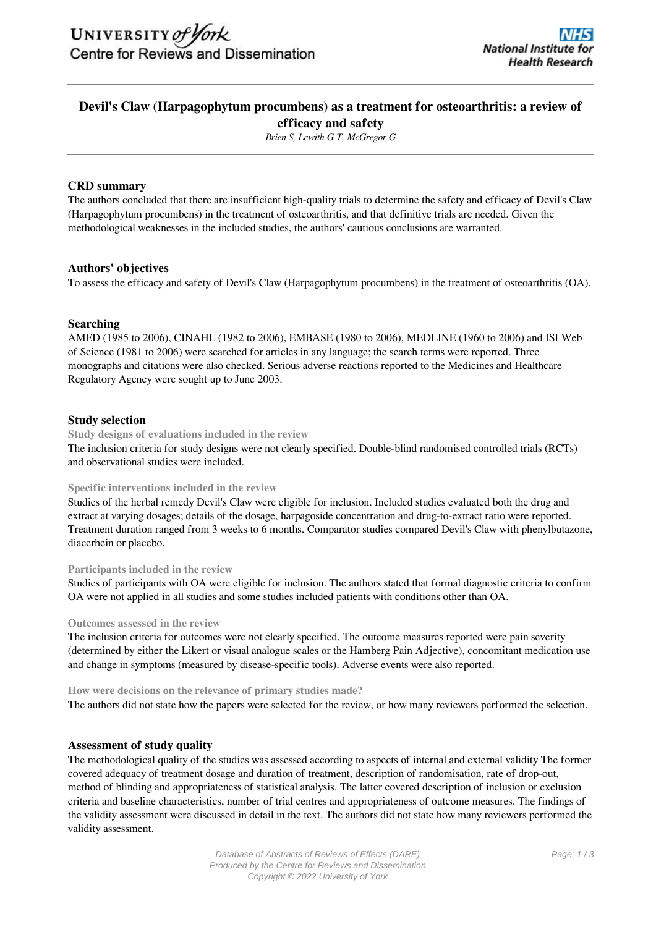# **Devil's Claw (Harpagophytum procumbens) as a treatment for osteoarthritis: a review of efficacy and safety**

*Brien S, Lewith G T, McGregor G*

# **CRD summary**

The authors concluded that there are insufficient high-quality trials to determine the safety and efficacy of Devil's Claw (Harpagophytum procumbens) in the treatment of osteoarthritis, and that definitive trials are needed. Given the methodological weaknesses in the included studies, the authors' cautious conclusions are warranted.

# **Authors' objectives**

To assess the efficacy and safety of Devil's Claw (Harpagophytum procumbens) in the treatment of osteoarthritis (OA).

# **Searching**

AMED (1985 to 2006), CINAHL (1982 to 2006), EMBASE (1980 to 2006), MEDLINE (1960 to 2006) and ISI Web of Science (1981 to 2006) were searched for articles in any language; the search terms were reported. Three monographs and citations were also checked. Serious adverse reactions reported to the Medicines and Healthcare Regulatory Agency were sought up to June 2003.

# **Study selection**

**Study designs of evaluations included in the review**

The inclusion criteria for study designs were not clearly specified. Double-blind randomised controlled trials (RCTs) and observational studies were included.

# **Specific interventions included in the review**

Studies of the herbal remedy Devil's Claw were eligible for inclusion. Included studies evaluated both the drug and extract at varying dosages; details of the dosage, harpagoside concentration and drug-to-extract ratio were reported. Treatment duration ranged from 3 weeks to 6 months. Comparator studies compared Devil's Claw with phenylbutazone, diacerhein or placebo.

### **Participants included in the review**

Studies of participants with OA were eligible for inclusion. The authors stated that formal diagnostic criteria to confirm OA were not applied in all studies and some studies included patients with conditions other than OA.

# **Outcomes assessed in the review**

The inclusion criteria for outcomes were not clearly specified. The outcome measures reported were pain severity (determined by either the Likert or visual analogue scales or the Hamberg Pain Adjective), concomitant medication use and change in symptoms (measured by disease-specific tools). Adverse events were also reported.

### **How were decisions on the relevance of primary studies made?**

The authors did not state how the papers were selected for the review, or how many reviewers performed the selection.

# **Assessment of study quality**

The methodological quality of the studies was assessed according to aspects of internal and external validity The former covered adequacy of treatment dosage and duration of treatment, description of randomisation, rate of drop-out, method of blinding and appropriateness of statistical analysis. The latter covered description of inclusion or exclusion criteria and baseline characteristics, number of trial centres and appropriateness of outcome measures. The findings of the validity assessment were discussed in detail in the text. The authors did not state how many reviewers performed the validity assessment.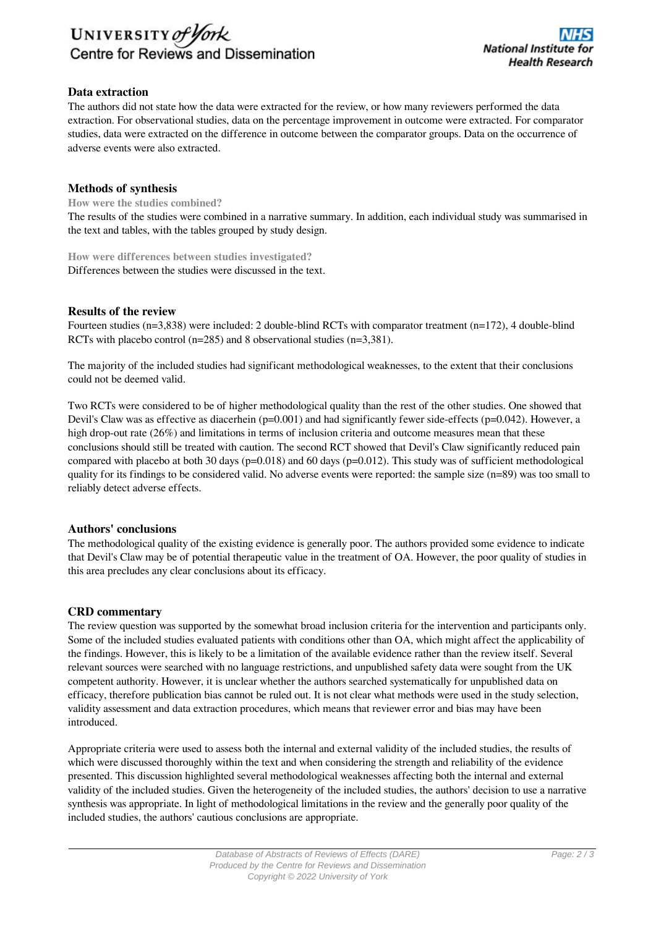

# **Data extraction**

The authors did not state how the data were extracted for the review, or how many reviewers performed the data extraction. For observational studies, data on the percentage improvement in outcome were extracted. For comparator studies, data were extracted on the difference in outcome between the comparator groups. Data on the occurrence of adverse events were also extracted.

# **Methods of synthesis**

**How were the studies combined?**

The results of the studies were combined in a narrative summary. In addition, each individual study was summarised in the text and tables, with the tables grouped by study design.

**How were differences between studies investigated?** Differences between the studies were discussed in the text.

### **Results of the review**

Fourteen studies (n=3,838) were included: 2 double-blind RCTs with comparator treatment (n=172), 4 double-blind RCTs with placebo control (n=285) and 8 observational studies (n=3,381).

The majority of the included studies had significant methodological weaknesses, to the extent that their conclusions could not be deemed valid.

Two RCTs were considered to be of higher methodological quality than the rest of the other studies. One showed that Devil's Claw was as effective as diacerhein ( $p=0.001$ ) and had significantly fewer side-effects ( $p=0.042$ ). However, a high drop-out rate (26%) and limitations in terms of inclusion criteria and outcome measures mean that these conclusions should still be treated with caution. The second RCT showed that Devil's Claw significantly reduced pain compared with placebo at both 30 days (p=0.018) and 60 days (p=0.012). This study was of sufficient methodological quality for its findings to be considered valid. No adverse events were reported: the sample size (n=89) was too small to reliably detect adverse effects.

### **Authors' conclusions**

The methodological quality of the existing evidence is generally poor. The authors provided some evidence to indicate that Devil's Claw may be of potential therapeutic value in the treatment of OA. However, the poor quality of studies in this area precludes any clear conclusions about its efficacy.

### **CRD commentary**

The review question was supported by the somewhat broad inclusion criteria for the intervention and participants only. Some of the included studies evaluated patients with conditions other than OA, which might affect the applicability of the findings. However, this is likely to be a limitation of the available evidence rather than the review itself. Several relevant sources were searched with no language restrictions, and unpublished safety data were sought from the UK competent authority. However, it is unclear whether the authors searched systematically for unpublished data on efficacy, therefore publication bias cannot be ruled out. It is not clear what methods were used in the study selection, validity assessment and data extraction procedures, which means that reviewer error and bias may have been introduced.

Appropriate criteria were used to assess both the internal and external validity of the included studies, the results of which were discussed thoroughly within the text and when considering the strength and reliability of the evidence presented. This discussion highlighted several methodological weaknesses affecting both the internal and external validity of the included studies. Given the heterogeneity of the included studies, the authors' decision to use a narrative synthesis was appropriate. In light of methodological limitations in the review and the generally poor quality of the included studies, the authors' cautious conclusions are appropriate.